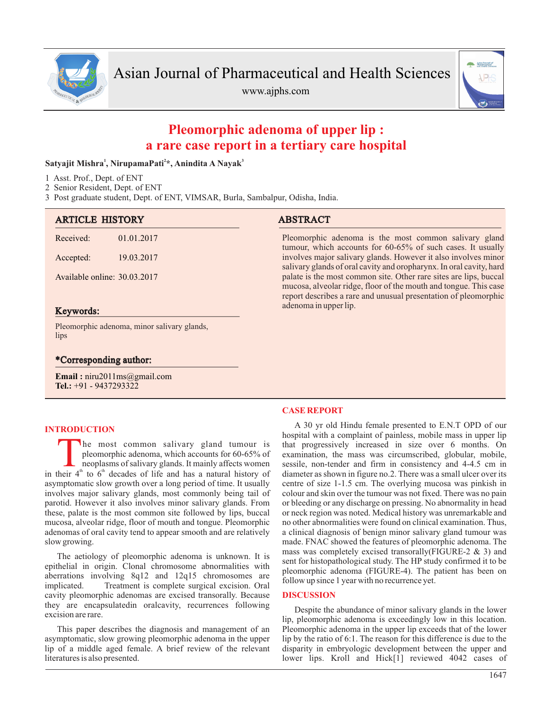

www.ajphs.com



# **Pleomorphic adenoma of upper lip : a rare case report in a tertiary care hospital**

### **1 2 3 Satyajit Mishra , NirupamaPati \*, Anindita A Nayak**

- 1 Asst. Prof., Dept. of ENT
- 2 Senior Resident, Dept. of ENT

3 Post graduate student, Dept. of ENT, VIMSAR, Burla, Sambalpur, Odisha, India.

| <b>ARTICLE HISTORY</b>                      |            | <b>ABSTRACT</b>                                                                                                                                                                                          |
|---------------------------------------------|------------|----------------------------------------------------------------------------------------------------------------------------------------------------------------------------------------------------------|
| Received:                                   | 01.01.2017 | Pleomorphic adenoma is the most common salivary gland<br>tumour, which accounts for 60-65% of such cases. It usually                                                                                     |
| Accepted:                                   | 19.03.2017 | involves major salivary glands. However it also involves minor<br>salivary glands of oral cavity and oropharynx. In oral cavity, hard                                                                    |
| Available online: 30.03.2017                |            | palate is the most common site. Other rare sites are lips, buccal<br>mucosa, alveolar ridge, floor of the mouth and tongue. This case<br>report describes a rare and unusual presentation of pleomorphic |
| Keywords:                                   |            | adenoma in upper lip.                                                                                                                                                                                    |
| Pleomorphic adenoma, minor salivary glands, |            |                                                                                                                                                                                                          |

## \*Corresponding author:

**Email :** niru2011ms@gmail.com **Tel.:** +91 - 9437293322

### **INTRODUCTION**

lips

The most common salivary gland tumour is<br>pleomorphic adenoma, which accounts for 60-65% of<br>neoplasms of salivary glands. It mainly affects women<br>in their 4<sup>th</sup> to 6<sup>th</sup> decades of life and has a natural history of he most common salivary gland tumour is pleomorphic adenoma, which accounts for 60-65% of neoplasms of salivary glands. It mainly affects women asymptomatic slow growth over a long period of time. It usually involves major salivary glands, most commonly being tail of parotid. However it also involves minor salivary glands. From these, palate is the most common site followed by lips, buccal mucosa, alveolar ridge, floor of mouth and tongue. Pleomorphic adenomas of oral cavity tend to appear smooth and are relatively slow growing.

The aetiology of pleomorphic adenoma is unknown. It is epithelial in origin. Clonal chromosome abnormalities with aberrations involving 8q12 and 12q15 chromosomes are implicated. Treatment is complete surgical excision. Oral cavity pleomorphic adenomas are excised transorally. Because they are encapsulatedin oralcavity, recurrences following excision are rare.

This paper describes the diagnosis and management of an asymptomatic, slow growing pleomorphic adenoma in the upper lip of a middle aged female. A brief review of the relevant literatures is also presented.

### **CASE REPORT**

A 30 yr old Hindu female presented to E.N.T OPD of our hospital with a complaint of painless, mobile mass in upper lip that progressively increased in size over 6 months. On examination, the mass was circumscribed, globular, mobile, sessile, non-tender and firm in consistency and 4-4.5 cm in diameter as shown in figure no.2. There was a small ulcer over its centre of size 1-1.5 cm. The overlying mucosa was pinkish in colour and skin over the tumour was not fixed. There was no pain or bleeding or any discharge on pressing. No abnormality in head or neck region was noted. Medical history was unremarkable and no other abnormalities were found on clinical examination. Thus, a clinical diagnosis of benign minor salivary gland tumour was made. FNAC showed the features of pleomorphic adenoma. The mass was completely excised transorally(FIGURE-2 & 3) and sent for histopathological study. The HP study confirmed it to be pleomorphic adenoma (FIGURE-4). The patient has been on follow up since 1 year with no recurrence yet.

#### **DISCUSSION**

Despite the abundance of minor salivary glands in the lower lip, pleomorphic adenoma is exceedingly low in this location. Pleomorphic adenoma in the upper lip exceeds that of the lower lip by the ratio of 6:1. The reason for this difference is due to the disparity in embryologic development between the upper and lower lips. Kroll and Hick[1] reviewed 4042 cases of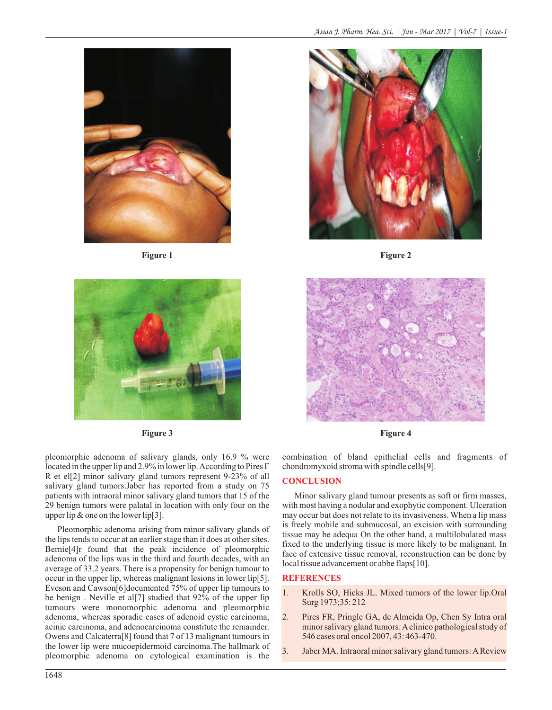



pleomorphic adenoma of salivary glands, only 16.9 % were located in the upper lip and 2.9% in lower lip. According to Pires F R et el[2] minor salivary gland tumors represent 9-23% of all salivary gland tumors.Jaber has reported from a study on 75 patients with intraoral minor salivary gland tumors that 15 of the 29 benign tumors were palatal in location with only four on the upper lip  $\&$  one on the lower lip[3].

Pleomorphic adenoma arising from minor salivary glands of the lips tends to occur at an earlier stage than it does at other sites. Bernie[4]r found that the peak incidence of pleomorphic adenoma of the lips was in the third and fourth decades, with an average of 33.2 years. There is a propensity for benign tumour to occur in the upper lip, whereas malignant lesions in lower lip[5]. Eveson and Cawson[6]documented 75% of upper lip tumours to be benign . Neville et al[7] studied that 92% of the upper lip tumours were monomorphic adenoma and pleomorphic adenoma, whereas sporadic cases of adenoid cystic carcinoma, acinic carcinoma, and adenocarcinoma constitute the remainder. Owens and Calcaterra[8] found that 7 of 13 malignant tumours in the lower lip were mucoepidermoid carcinoma.The hallmark of pleomorphic adenoma on cytological examination is the



**Figure 1 Figure 2** 



**Figure 3 Figure 4**

combination of bland epithelial cells and fragments of chondromyxoid stroma with spindle cells[9].

#### **CONCLUSION**

Minor salivary gland tumour presents as soft or firm masses, with most having a nodular and exophytic component. Ulceration may occur but does not relate to its invasiveness. When a lip mass is freely mobile and submucosal, an excision with surrounding tissue may be adequa On the other hand, a multilobulated mass fixed to the underlying tissue is more likely to be malignant. In face of extensive tissue removal, reconstruction can be done by local tissue advancement or abbe flaps[10].

#### **REFERENCES**

- 1. Krolls SO, Hicks JL. Mixed tumors of the lower lip.Oral Surg 1973;35: 212
- 2. Pires FR, Pringle GA, de Almeida Op, Chen Sy Intra oral minor salivary gland tumors: Aclinico pathological study of 546 cases oral oncol 2007, 43: 463-470.
- 3. Jaber MA. Intraoral minor salivary gland tumors: AReview